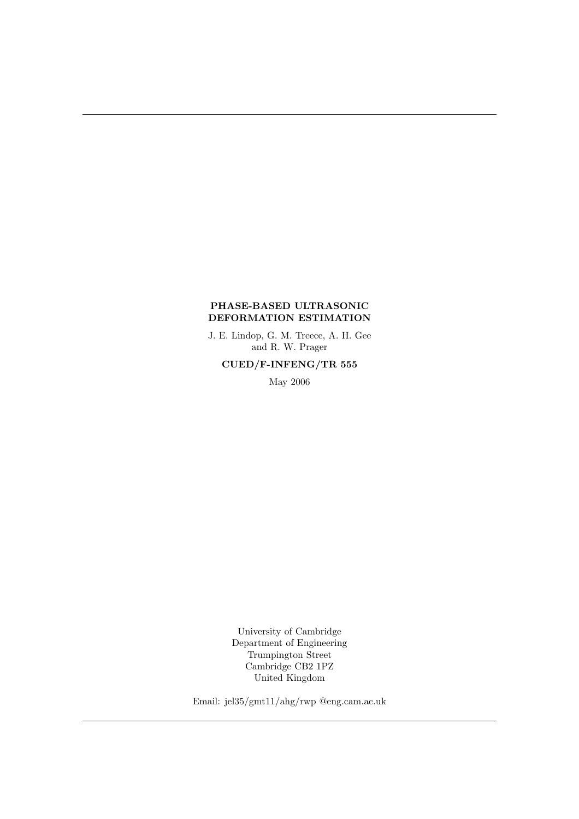### PHASE-BASED ULTRASONIC DEFORMATION ESTIMATION

J. E. Lindop, G. M. Treece, A. H. Gee and R. W. Prager

CUED/F-INFENG/TR 555

May 2006

University of Cambridge Department of Engineering Trumpington Street Cambridge CB2 1PZ United Kingdom

Email: jel35/gmt11/ahg/rwp @eng.cam.ac.uk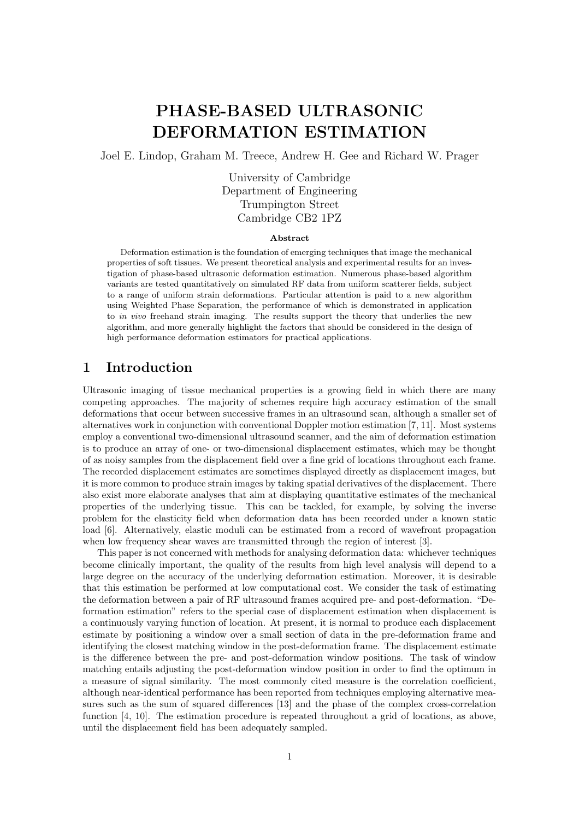# PHASE-BASED ULTRASONIC DEFORMATION ESTIMATION

Joel E. Lindop, Graham M. Treece, Andrew H. Gee and Richard W. Prager

University of Cambridge Department of Engineering Trumpington Street Cambridge CB2 1PZ

### Abstract

Deformation estimation is the foundation of emerging techniques that image the mechanical properties of soft tissues. We present theoretical analysis and experimental results for an investigation of phase-based ultrasonic deformation estimation. Numerous phase-based algorithm variants are tested quantitatively on simulated RF data from uniform scatterer fields, subject to a range of uniform strain deformations. Particular attention is paid to a new algorithm using Weighted Phase Separation, the performance of which is demonstrated in application to in vivo freehand strain imaging. The results support the theory that underlies the new algorithm, and more generally highlight the factors that should be considered in the design of high performance deformation estimators for practical applications.

# 1 Introduction

Ultrasonic imaging of tissue mechanical properties is a growing field in which there are many competing approaches. The majority of schemes require high accuracy estimation of the small deformations that occur between successive frames in an ultrasound scan, although a smaller set of alternatives work in conjunction with conventional Doppler motion estimation [7, 11]. Most systems employ a conventional two-dimensional ultrasound scanner, and the aim of deformation estimation is to produce an array of one- or two-dimensional displacement estimates, which may be thought of as noisy samples from the displacement field over a fine grid of locations throughout each frame. The recorded displacement estimates are sometimes displayed directly as displacement images, but it is more common to produce strain images by taking spatial derivatives of the displacement. There also exist more elaborate analyses that aim at displaying quantitative estimates of the mechanical properties of the underlying tissue. This can be tackled, for example, by solving the inverse problem for the elasticity field when deformation data has been recorded under a known static load [6]. Alternatively, elastic moduli can be estimated from a record of wavefront propagation when low frequency shear waves are transmitted through the region of interest [3].

This paper is not concerned with methods for analysing deformation data: whichever techniques become clinically important, the quality of the results from high level analysis will depend to a large degree on the accuracy of the underlying deformation estimation. Moreover, it is desirable that this estimation be performed at low computational cost. We consider the task of estimating the deformation between a pair of RF ultrasound frames acquired pre- and post-deformation. "Deformation estimation" refers to the special case of displacement estimation when displacement is a continuously varying function of location. At present, it is normal to produce each displacement estimate by positioning a window over a small section of data in the pre-deformation frame and identifying the closest matching window in the post-deformation frame. The displacement estimate is the difference between the pre- and post-deformation window positions. The task of window matching entails adjusting the post-deformation window position in order to find the optimum in a measure of signal similarity. The most commonly cited measure is the correlation coefficient, although near-identical performance has been reported from techniques employing alternative measures such as the sum of squared differences [13] and the phase of the complex cross-correlation function [4, 10]. The estimation procedure is repeated throughout a grid of locations, as above, until the displacement field has been adequately sampled.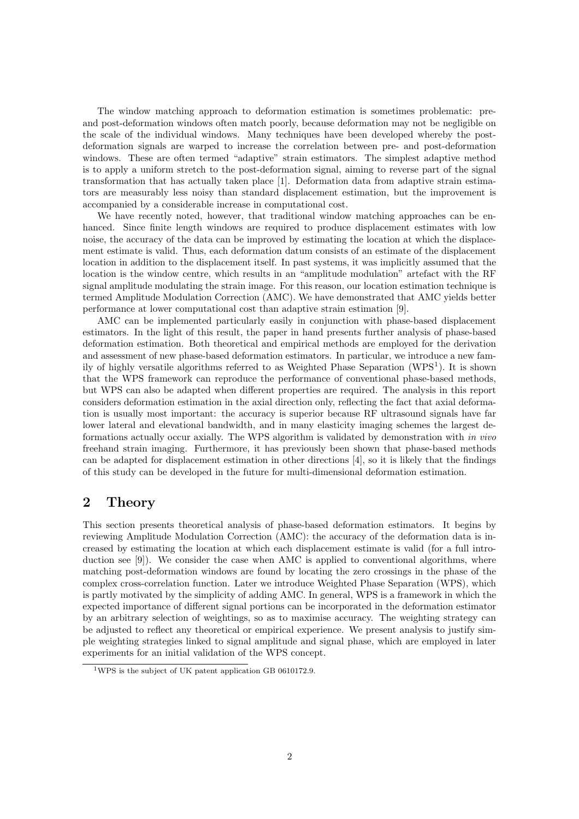The window matching approach to deformation estimation is sometimes problematic: preand post-deformation windows often match poorly, because deformation may not be negligible on the scale of the individual windows. Many techniques have been developed whereby the postdeformation signals are warped to increase the correlation between pre- and post-deformation windows. These are often termed "adaptive" strain estimators. The simplest adaptive method is to apply a uniform stretch to the post-deformation signal, aiming to reverse part of the signal transformation that has actually taken place [1]. Deformation data from adaptive strain estimators are measurably less noisy than standard displacement estimation, but the improvement is accompanied by a considerable increase in computational cost.

We have recently noted, however, that traditional window matching approaches can be enhanced. Since finite length windows are required to produce displacement estimates with low noise, the accuracy of the data can be improved by estimating the location at which the displacement estimate is valid. Thus, each deformation datum consists of an estimate of the displacement location in addition to the displacement itself. In past systems, it was implicitly assumed that the location is the window centre, which results in an "amplitude modulation" artefact with the RF signal amplitude modulating the strain image. For this reason, our location estimation technique is termed Amplitude Modulation Correction (AMC). We have demonstrated that AMC yields better performance at lower computational cost than adaptive strain estimation [9].

AMC can be implemented particularly easily in conjunction with phase-based displacement estimators. In the light of this result, the paper in hand presents further analysis of phase-based deformation estimation. Both theoretical and empirical methods are employed for the derivation and assessment of new phase-based deformation estimators. In particular, we introduce a new family of highly versatile algorithms referred to as Weighted Phase Separation (WPS<sup>1</sup>). It is shown that the WPS framework can reproduce the performance of conventional phase-based methods, but WPS can also be adapted when different properties are required. The analysis in this report considers deformation estimation in the axial direction only, reflecting the fact that axial deformation is usually most important: the accuracy is superior because RF ultrasound signals have far lower lateral and elevational bandwidth, and in many elasticity imaging schemes the largest deformations actually occur axially. The WPS algorithm is validated by demonstration with in vivo freehand strain imaging. Furthermore, it has previously been shown that phase-based methods can be adapted for displacement estimation in other directions [4], so it is likely that the findings of this study can be developed in the future for multi-dimensional deformation estimation.

## 2 Theory

This section presents theoretical analysis of phase-based deformation estimators. It begins by reviewing Amplitude Modulation Correction (AMC): the accuracy of the deformation data is increased by estimating the location at which each displacement estimate is valid (for a full introduction see [9]). We consider the case when AMC is applied to conventional algorithms, where matching post-deformation windows are found by locating the zero crossings in the phase of the complex cross-correlation function. Later we introduce Weighted Phase Separation (WPS), which is partly motivated by the simplicity of adding AMC. In general, WPS is a framework in which the expected importance of different signal portions can be incorporated in the deformation estimator by an arbitrary selection of weightings, so as to maximise accuracy. The weighting strategy can be adjusted to reflect any theoretical or empirical experience. We present analysis to justify simple weighting strategies linked to signal amplitude and signal phase, which are employed in later experiments for an initial validation of the WPS concept.

<sup>1</sup>WPS is the subject of UK patent application GB 0610172.9.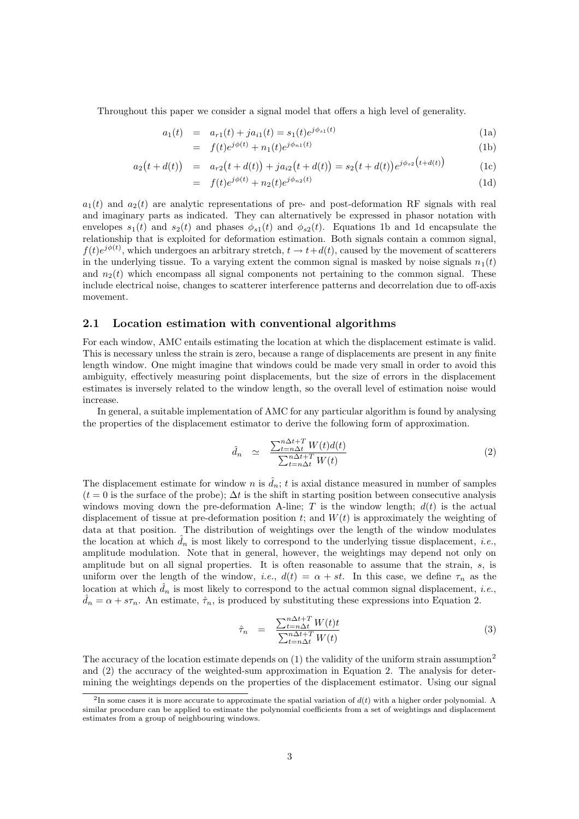Throughout this paper we consider a signal model that offers a high level of generality.

$$
a_1(t) = a_{r1}(t) + ja_{i1}(t) = s_1(t)e^{j\phi_{s1}(t)}
$$
\n(1a)

$$
= f(t)e^{j\phi(t)} + n_1(t)e^{j\phi_{n_1}(t)}
$$
\n(1b)

$$
a_2(t + d(t)) = a_{r2}(t + d(t)) + ja_{i2}(t + d(t)) = s_2(t + d(t))e^{j\phi_{s2}(t + d(t))}
$$
\n(1c)

$$
= f(t)e^{j\phi(t)} + n_2(t)e^{j\phi_{n_2}(t)} \tag{1d}
$$

 $a_1(t)$  and  $a_2(t)$  are analytic representations of pre- and post-deformation RF signals with real and imaginary parts as indicated. They can alternatively be expressed in phasor notation with envelopes  $s_1(t)$  and  $s_2(t)$  and phases  $\phi_{s1}(t)$  and  $\phi_{s2}(t)$ . Equations 1b and 1d encapsulate the relationship that is exploited for deformation estimation. Both signals contain a common signal,  $f(t)e^{j\phi(t)}$ , which undergoes an arbitrary stretch,  $t \to t+d(t)$ , caused by the movement of scatterers in the underlying tissue. To a varying extent the common signal is masked by noise signals  $n_1(t)$ and  $n_2(t)$  which encompass all signal components not pertaining to the common signal. These include electrical noise, changes to scatterer interference patterns and decorrelation due to off-axis movement.

### 2.1 Location estimation with conventional algorithms

For each window, AMC entails estimating the location at which the displacement estimate is valid. This is necessary unless the strain is zero, because a range of displacements are present in any finite length window. One might imagine that windows could be made very small in order to avoid this ambiguity, effectively measuring point displacements, but the size of errors in the displacement estimates is inversely related to the window length, so the overall level of estimation noise would increase.

In general, a suitable implementation of AMC for any particular algorithm is found by analysing the properties of the displacement estimator to derive the following form of approximation.

$$
\hat{d}_n \simeq \frac{\sum_{t=n\Delta t}^{n\Delta t+T} W(t) d(t)}{\sum_{t=n\Delta t}^{n\Delta t+T} W(t)} \tag{2}
$$

The displacement estimate for window n is  $\hat{d}_n$ ; t is axial distance measured in number of samples  $(t = 0$  is the surface of the probe);  $\Delta t$  is the shift in starting position between consecutive analysis windows moving down the pre-deformation A-line; T is the window length;  $d(t)$  is the actual displacement of tissue at pre-deformation position t; and  $W(t)$  is approximately the weighting of data at that position. The distribution of weightings over the length of the window modulates the location at which  $d_n$  is most likely to correspond to the underlying tissue displacement, *i.e.*, amplitude modulation. Note that in general, however, the weightings may depend not only on amplitude but on all signal properties. It is often reasonable to assume that the strain,  $s$ , is uniform over the length of the window, *i.e.*,  $d(t) = \alpha + st$ . In this case, we define  $\tau_n$  as the location at which  $\hat{d}_n$  is most likely to correspond to the actual common signal displacement, *i.e.*,  $\hat{d}_n = \alpha + s\tau_n$ . An estimate,  $\hat{\tau}_n$ , is produced by substituting these expressions into Equation 2.

$$
\hat{\tau}_n = \frac{\sum_{t=n\Delta t}^{n\Delta t+T} W(t)t}{\sum_{t=n\Delta t}^{n\Delta t+T} W(t)} \tag{3}
$$

The accuracy of the location estimate depends on  $(1)$  the validity of the uniform strain assumption<sup>2</sup> and (2) the accuracy of the weighted-sum approximation in Equation 2. The analysis for determining the weightings depends on the properties of the displacement estimator. Using our signal

<sup>&</sup>lt;sup>2</sup>In some cases it is more accurate to approximate the spatial variation of  $d(t)$  with a higher order polynomial. A similar procedure can be applied to estimate the polynomial coefficients from a set of weightings and displacement estimates from a group of neighbouring windows.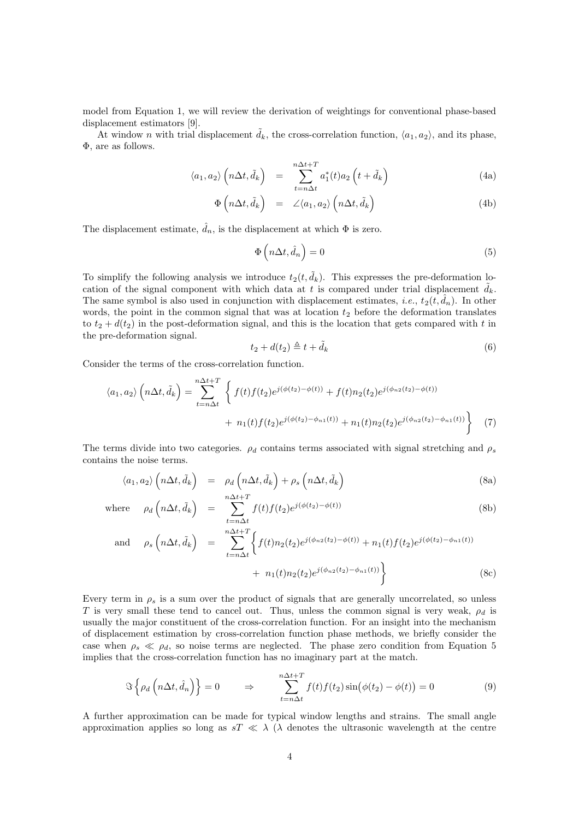model from Equation 1, we will review the derivation of weightings for conventional phase-based displacement estimators [9].

At window n with trial displacement  $\tilde{d}_k$ , the cross-correlation function,  $\langle a_1, a_2 \rangle$ , and its phase, Φ, are as follows.

$$
\langle a_1, a_2 \rangle \left( n \Delta t, \tilde{d}_k \right) = \sum_{t=n\Delta t}^{n\Delta t + T} a_1^*(t) a_2 \left( t + \tilde{d}_k \right) \tag{4a}
$$

$$
\Phi\left(n\Delta t, \tilde{d}_k\right) = \angle\langle a_1, a_2\rangle \left(n\Delta t, \tilde{d}_k\right) \tag{4b}
$$

The displacement estimate,  $\hat{d}_n$ , is the displacement at which  $\Phi$  is zero.

$$
\Phi\left(n\Delta t, \hat{d}_n\right) = 0\tag{5}
$$

To simplify the following analysis we introduce  $t_2(t, \tilde{d}_k)$ . This expresses the pre-deformation location of the signal component with which data at t is compared under trial displacement  $\tilde{d}_k$ . The same symbol is also used in conjunction with displacement estimates, *i.e.*,  $t_2(t, d_n)$ . In other words, the point in the common signal that was at location  $t_2$  before the deformation translates to  $t_2 + d(t_2)$  in the post-deformation signal, and this is the location that gets compared with t in the pre-deformation signal.

$$
t_2 + d(t_2) \triangleq t + \tilde{d}_k \tag{6}
$$

Consider the terms of the cross-correlation function.

$$
\langle a_1, a_2 \rangle \left( n \Delta t, \tilde{d}_k \right) = \sum_{t=n \Delta t}^{n \Delta t + T} \left\{ f(t) f(t_2) e^{j(\phi(t_2) - \phi(t))} + f(t) n_2(t_2) e^{j(\phi_{n_2}(t_2) - \phi(t))} + n_1(t) f(t_2) e^{j(\phi(t_2) - \phi_{n_1}(t))} + n_1(t) n_2(t_2) e^{j(\phi_{n_2}(t_2) - \phi_{n_1}(t))} \right\}
$$
(7)

The terms divide into two categories.  $\rho_d$  contains terms associated with signal stretching and  $\rho_s$ contains the noise terms.

$$
\langle a_1, a_2 \rangle \left( n \Delta t, \tilde{d}_k \right) = \rho_d \left( n \Delta t, \tilde{d}_k \right) + \rho_s \left( n \Delta t, \tilde{d}_k \right) \tag{8a}
$$

where 
$$
\rho_d\left(n\Delta t, \tilde{d}_k\right) = \sum_{t=n\Delta t}^{n\Delta t+T} f(t)f(t_2)e^{j(\phi(t_2)-\phi(t))}
$$
 (8b)

and 
$$
\rho_s \left( n \Delta t, \tilde{d}_k \right) = \sum_{t=n\Delta t}^{n\Delta t + T} \left\{ f(t) n_2(t_2) e^{j(\phi_{n2}(t_2) - \phi(t))} + n_1(t) f(t_2) e^{j(\phi(t_2) - \phi_{n1}(t))} + n_1(t) n_2(t_2) e^{j(\phi_{n2}(t_2) - \phi_{n1}(t))} \right\}
$$
 (8c)

Every term in  $\rho_s$  is a sum over the product of signals that are generally uncorrelated, so unless T is very small these tend to cancel out. Thus, unless the common signal is very weak,  $\rho_d$  is usually the major constituent of the cross-correlation function. For an insight into the mechanism of displacement estimation by cross-correlation function phase methods, we briefly consider the case when  $\rho_s \ll \rho_d$ , so noise terms are neglected. The phase zero condition from Equation 5 implies that the cross-correlation function has no imaginary part at the match.

$$
\Im\left\{\rho_d\left(n\Delta t,\hat{d}_n\right)\right\} = 0 \qquad \Rightarrow \qquad \sum_{t=n\Delta t}^{n\Delta t+T} f(t)f(t_2)\sin\left(\phi(t_2) - \phi(t)\right) = 0 \tag{9}
$$

A further approximation can be made for typical window lengths and strains. The small angle approximation applies so long as  $sT \ll \lambda$  ( $\lambda$  denotes the ultrasonic wavelength at the centre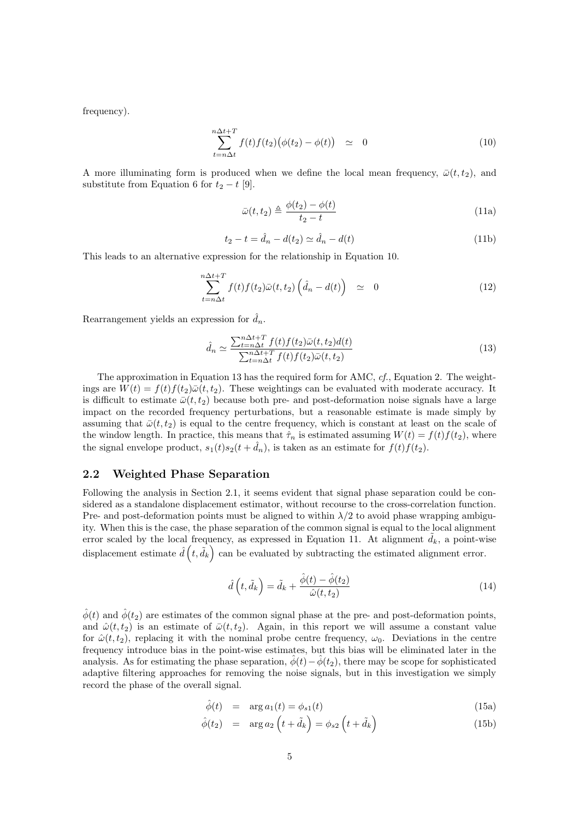frequency).

$$
\sum_{t=n\Delta t}^{n\Delta t+T} f(t)f(t_2)\big(\phi(t_2) - \phi(t)\big) \quad \simeq \quad 0 \tag{10}
$$

A more illuminating form is produced when we define the local mean frequency,  $\bar{\omega}(t,t_2)$ , and substitute from Equation 6 for  $t_2 - t$  [9].

$$
\bar{\omega}(t, t_2) \triangleq \frac{\phi(t_2) - \phi(t)}{t_2 - t}
$$
\n(11a)

$$
t_2 - t = \hat{d}_n - d(t_2) \simeq \hat{d}_n - d(t)
$$
\n(11b)

This leads to an alternative expression for the relationship in Equation 10.

$$
\sum_{t=n\Delta t}^{n\Delta t+T} f(t)f(t_2)\bar{\omega}(t,t_2)\left(\hat{d}_n - d(t)\right) \simeq 0 \tag{12}
$$

Rearrangement yields an expression for  $\hat{d}_n$ .

$$
\hat{d}_n \simeq \frac{\sum_{t=n\Delta t}^{n\Delta t+T} f(t)f(t_2)\bar{\omega}(t,t_2)d(t)}{\sum_{t=n\Delta t}^{n\Delta t+T} f(t)f(t_2)\bar{\omega}(t,t_2)}
$$
(13)

The approximation in Equation 13 has the required form for AMC, cf., Equation 2. The weightings are  $W(t) = f(t)f(t_2)\bar{\omega}(t_1, t_2)$ . These weightings can be evaluated with moderate accuracy. It is difficult to estimate  $\bar{\omega}(t,t_2)$  because both pre- and post-deformation noise signals have a large impact on the recorded frequency perturbations, but a reasonable estimate is made simply by assuming that  $\bar{\omega}(t,t_2)$  is equal to the centre frequency, which is constant at least on the scale of the window length. In practice, this means that  $\hat{\tau}_n$  is estimated assuming  $W(t) = f(t)f(t_2)$ , where the signal envelope product,  $s_1(t)s_2(t + \hat{d}_n)$ , is taken as an estimate for  $f(t)f(t_2)$ .

### 2.2 Weighted Phase Separation

Following the analysis in Section 2.1, it seems evident that signal phase separation could be considered as a standalone displacement estimator, without recourse to the cross-correlation function. Pre- and post-deformation points must be aligned to within  $\lambda/2$  to avoid phase wrapping ambiguity. When this is the case, the phase separation of the common signal is equal to the local alignment error scaled by the local frequency, as expressed in Equation 11. At alignment  $\tilde{d}_k$ , a point-wise displacement estimate  $\hat{d}(t, \tilde{d}_k)$  can be evaluated by subtracting the estimated alignment error.

$$
\hat{d}\left(t,\tilde{d}_k\right) = \tilde{d}_k + \frac{\hat{\phi}(t) - \hat{\phi}(t_2)}{\hat{\omega}(t,t_2)}\tag{14}
$$

 $\hat{\phi}(t)$  and  $\hat{\phi}(t_2)$  are estimates of the common signal phase at the pre- and post-deformation points, and  $\hat{\omega}(t,t_2)$  is an estimate of  $\bar{\omega}(t,t_2)$ . Again, in this report we will assume a constant value for  $\hat{\omega}(t,t_2)$ , replacing it with the nominal probe centre frequency,  $\omega_0$ . Deviations in the centre frequency introduce bias in the point-wise estimates, but this bias will be eliminated later in the analysis. As for estimating the phase separation,  $\hat{\phi}(t)-\hat{\phi}(t_2)$ , there may be scope for sophisticated adaptive filtering approaches for removing the noise signals, but in this investigation we simply record the phase of the overall signal.

$$
\hat{\phi}(t) = \arg a_1(t) = \phi_{s1}(t) \tag{15a}
$$

$$
\hat{\phi}(t_2) = \arg a_2 \left( t + \tilde{d}_k \right) = \phi_{s2} \left( t + \tilde{d}_k \right) \tag{15b}
$$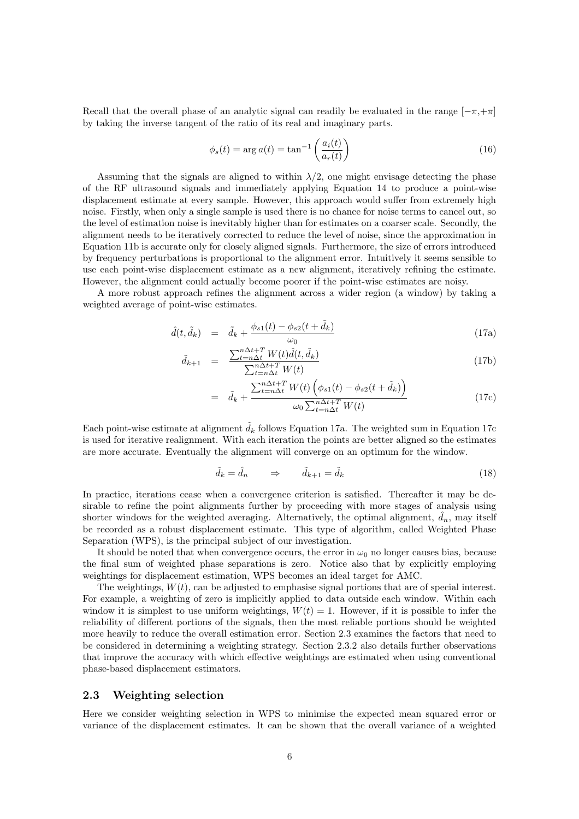Recall that the overall phase of an analytic signal can readily be evaluated in the range  $[-\pi, +\pi]$ by taking the inverse tangent of the ratio of its real and imaginary parts.

$$
\phi_s(t) = \arg a(t) = \tan^{-1} \left( \frac{a_i(t)}{a_r(t)} \right) \tag{16}
$$

Assuming that the signals are aligned to within  $\lambda/2$ , one might envisage detecting the phase of the RF ultrasound signals and immediately applying Equation 14 to produce a point-wise displacement estimate at every sample. However, this approach would suffer from extremely high noise. Firstly, when only a single sample is used there is no chance for noise terms to cancel out, so the level of estimation noise is inevitably higher than for estimates on a coarser scale. Secondly, the alignment needs to be iteratively corrected to reduce the level of noise, since the approximation in Equation 11b is accurate only for closely aligned signals. Furthermore, the size of errors introduced by frequency perturbations is proportional to the alignment error. Intuitively it seems sensible to use each point-wise displacement estimate as a new alignment, iteratively refining the estimate. However, the alignment could actually become poorer if the point-wise estimates are noisy.

A more robust approach refines the alignment across a wider region (a window) by taking a weighted average of point-wise estimates.

$$
\hat{d}(t, \tilde{d}_k) = \tilde{d}_k + \frac{\phi_{s1}(t) - \phi_{s2}(t + \tilde{d}_k)}{\omega_0} \tag{17a}
$$

$$
\tilde{d}_{k+1} = \frac{\sum_{t=n\Delta t}^{n\Delta t+T} W(t)\hat{d}(t, \tilde{d}_k)}{\sum_{t=n\Delta t}^{n\Delta t+T} W(t)}
$$
\n(17b)

$$
= \tilde{d}_k + \frac{\sum_{t=n\Delta t}^{n\Delta t+T} W(t) \left( \phi_{s1}(t) - \phi_{s2}(t + \tilde{d}_k) \right)}{\omega_0 \sum_{t=n\Delta t}^{n\Delta t+T} W(t)} \tag{17c}
$$

Each point-wise estimate at alignment  $\tilde{d}_k$  follows Equation 17a. The weighted sum in Equation 17c is used for iterative realignment. With each iteration the points are better aligned so the estimates are more accurate. Eventually the alignment will converge on an optimum for the window.

$$
\tilde{d}_k = \hat{d}_n \qquad \Rightarrow \qquad \tilde{d}_{k+1} = \tilde{d}_k \tag{18}
$$

In practice, iterations cease when a convergence criterion is satisfied. Thereafter it may be desirable to refine the point alignments further by proceeding with more stages of analysis using shorter windows for the weighted averaging. Alternatively, the optimal alignment,  $\hat{d}_n$ , may itself be recorded as a robust displacement estimate. This type of algorithm, called Weighted Phase Separation (WPS), is the principal subject of our investigation.

It should be noted that when convergence occurs, the error in  $\omega_0$  no longer causes bias, because the final sum of weighted phase separations is zero. Notice also that by explicitly employing weightings for displacement estimation, WPS becomes an ideal target for AMC.

The weightings,  $W(t)$ , can be adjusted to emphasise signal portions that are of special interest. For example, a weighting of zero is implicitly applied to data outside each window. Within each window it is simplest to use uniform weightings,  $W(t) = 1$ . However, if it is possible to infer the reliability of different portions of the signals, then the most reliable portions should be weighted more heavily to reduce the overall estimation error. Section 2.3 examines the factors that need to be considered in determining a weighting strategy. Section 2.3.2 also details further observations that improve the accuracy with which effective weightings are estimated when using conventional phase-based displacement estimators.

### 2.3 Weighting selection

Here we consider weighting selection in WPS to minimise the expected mean squared error or variance of the displacement estimates. It can be shown that the overall variance of a weighted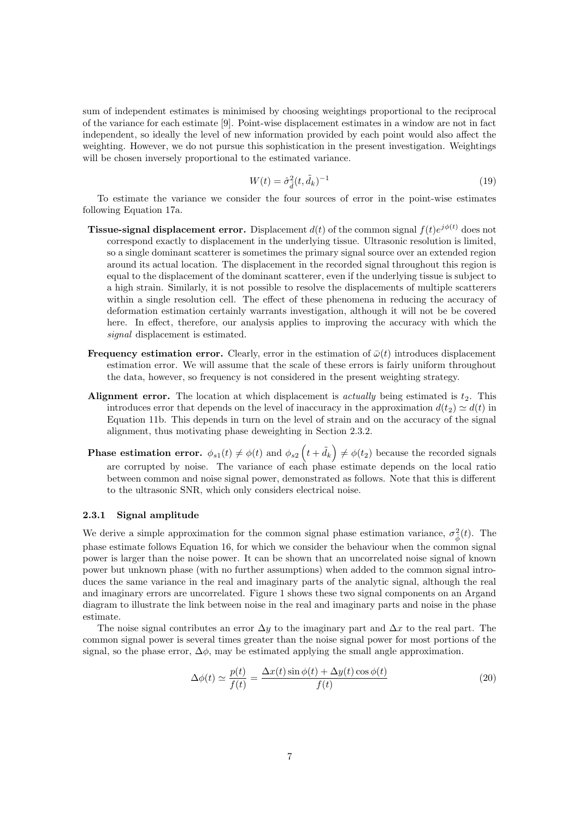sum of independent estimates is minimised by choosing weightings proportional to the reciprocal of the variance for each estimate [9]. Point-wise displacement estimates in a window are not in fact independent, so ideally the level of new information provided by each point would also affect the weighting. However, we do not pursue this sophistication in the present investigation. Weightings will be chosen inversely proportional to the estimated variance.

$$
W(t) = \hat{\sigma}_{\hat{d}}^2 (t, \tilde{d}_k)^{-1}
$$
\n(19)

To estimate the variance we consider the four sources of error in the point-wise estimates following Equation 17a.

- **Tissue-signal displacement error.** Displacement  $d(t)$  of the common signal  $f(t)e^{j\phi(t)}$  does not correspond exactly to displacement in the underlying tissue. Ultrasonic resolution is limited, so a single dominant scatterer is sometimes the primary signal source over an extended region around its actual location. The displacement in the recorded signal throughout this region is equal to the displacement of the dominant scatterer, even if the underlying tissue is subject to a high strain. Similarly, it is not possible to resolve the displacements of multiple scatterers within a single resolution cell. The effect of these phenomena in reducing the accuracy of deformation estimation certainly warrants investigation, although it will not be be covered here. In effect, therefore, our analysis applies to improving the accuracy with which the signal displacement is estimated.
- **Frequency estimation error.** Clearly, error in the estimation of  $\bar{\omega}(t)$  introduces displacement estimation error. We will assume that the scale of these errors is fairly uniform throughout the data, however, so frequency is not considered in the present weighting strategy.
- Alignment error. The location at which displacement is *actually* being estimated is  $t_2$ . This introduces error that depends on the level of inaccuracy in the approximation  $d(t_2) \simeq d(t)$  in Equation 11b. This depends in turn on the level of strain and on the accuracy of the signal alignment, thus motivating phase deweighting in Section 2.3.2.
- **Phase estimation error.**  $\phi_{s1}(t) \neq \phi(t)$  and  $\phi_{s2}(t + \tilde{d}_k) \neq \phi(t_2)$  because the recorded signals are corrupted by noise. The variance of each phase estimate depends on the local ratio between common and noise signal power, demonstrated as follows. Note that this is different to the ultrasonic SNR, which only considers electrical noise.

#### 2.3.1 Signal amplitude

We derive a simple approximation for the common signal phase estimation variance,  $\sigma_{\hat{\phi}}^2(t)$ . The phase estimate follows Equation 16, for which we consider the behaviour when the common signal power is larger than the noise power. It can be shown that an uncorrelated noise signal of known power but unknown phase (with no further assumptions) when added to the common signal introduces the same variance in the real and imaginary parts of the analytic signal, although the real and imaginary errors are uncorrelated. Figure 1 shows these two signal components on an Argand diagram to illustrate the link between noise in the real and imaginary parts and noise in the phase estimate.

The noise signal contributes an error  $\Delta y$  to the imaginary part and  $\Delta x$  to the real part. The common signal power is several times greater than the noise signal power for most portions of the signal, so the phase error,  $\Delta \phi$ , may be estimated applying the small angle approximation.

$$
\Delta\phi(t) \simeq \frac{p(t)}{f(t)} = \frac{\Delta x(t)\sin\phi(t) + \Delta y(t)\cos\phi(t)}{f(t)}
$$
\n(20)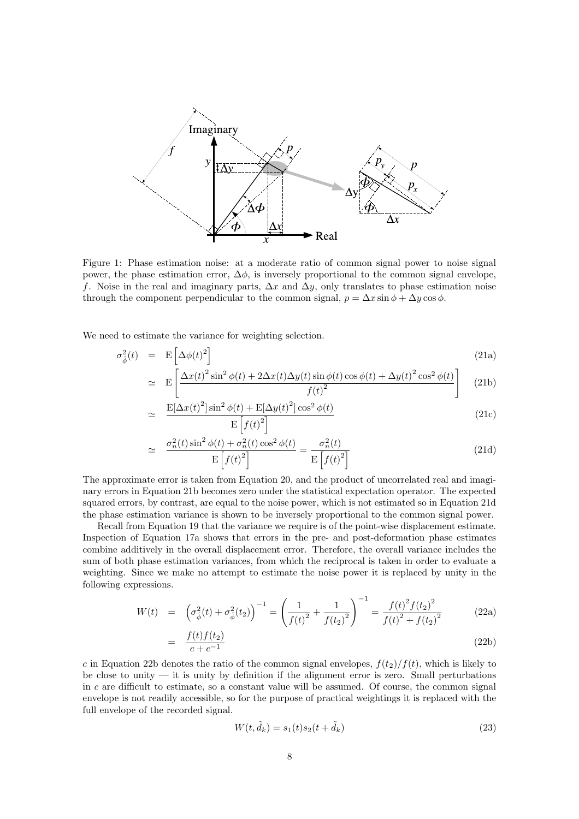

Figure 1: Phase estimation noise: at a moderate ratio of common signal power to noise signal power, the phase estimation error,  $\Delta \phi$ , is inversely proportional to the common signal envelope, f. Noise in the real and imaginary parts,  $\Delta x$  and  $\Delta y$ , only translates to phase estimation noise through the component perpendicular to the common signal,  $p = \Delta x \sin \phi + \Delta y \cos \phi$ .

We need to estimate the variance for weighting selection.

=

$$
\sigma_{\hat{\phi}}^2(t) = \mathbf{E} \left[ \Delta \phi(t)^2 \right]
$$
\n
$$
\left[ \Delta \phi(t)^2 \sin^2 \phi(t) + 2\Delta \phi(t) \Delta \psi(t) \sin \phi(t) \cos \phi(t) + \Delta \psi(t)^2 \cos^2 \phi(t) \right]
$$
\n(21a)

$$
\simeq \mathbf{E}\left[\frac{\Delta x(t)^2 \sin^2 \phi(t) + 2\Delta x(t)\Delta y(t) \sin \phi(t) \cos \phi(t) + \Delta y(t)^2 \cos^2 \phi(t)}{f(t)^2}\right] \tag{21b}
$$

$$
\simeq \frac{\mathbf{E}[\Delta x(t)^2] \sin^2 \phi(t) + \mathbf{E}[\Delta y(t)^2] \cos^2 \phi(t)}{\mathbf{E} [f(t)^2]}
$$
(21c)

$$
\simeq \frac{\sigma_n^2(t)\sin^2\phi(t) + \sigma_n^2(t)\cos^2\phi(t)}{\mathbb{E}\left[f(t)^2\right]} = \frac{\sigma_n^2(t)}{\mathbb{E}\left[f(t)^2\right]}
$$
(21d)

The approximate error is taken from Equation 20, and the product of uncorrelated real and imaginary errors in Equation 21b becomes zero under the statistical expectation operator. The expected squared errors, by contrast, are equal to the noise power, which is not estimated so in Equation 21d the phase estimation variance is shown to be inversely proportional to the common signal power.

Recall from Equation 19 that the variance we require is of the point-wise displacement estimate. Inspection of Equation 17a shows that errors in the pre- and post-deformation phase estimates combine additively in the overall displacement error. Therefore, the overall variance includes the sum of both phase estimation variances, from which the reciprocal is taken in order to evaluate a weighting. Since we make no attempt to estimate the noise power it is replaced by unity in the following expressions.

$$
W(t) = \left(\sigma_{\hat{\phi}}^2(t) + \sigma_{\hat{\phi}}^2(t_2)\right)^{-1} = \left(\frac{1}{f(t)^2} + \frac{1}{f(t_2)^2}\right)^{-1} = \frac{f(t)^2 f(t_2)^2}{f(t)^2 + f(t_2)^2}
$$
(22a)

$$
= \frac{f(t)f(t_2)}{c + c^{-1}}
$$
 (22b)

c in Equation 22b denotes the ratio of the common signal envelopes,  $f(t_2)/f(t)$ , which is likely to be close to unity  $-$  it is unity by definition if the alignment error is zero. Small perturbations in  $c$  are difficult to estimate, so a constant value will be assumed. Of course, the common signal envelope is not readily accessible, so for the purpose of practical weightings it is replaced with the full envelope of the recorded signal.

$$
W(t, \tilde{d}_k) = s_1(t)s_2(t + \tilde{d}_k)
$$
\n<sup>(23)</sup>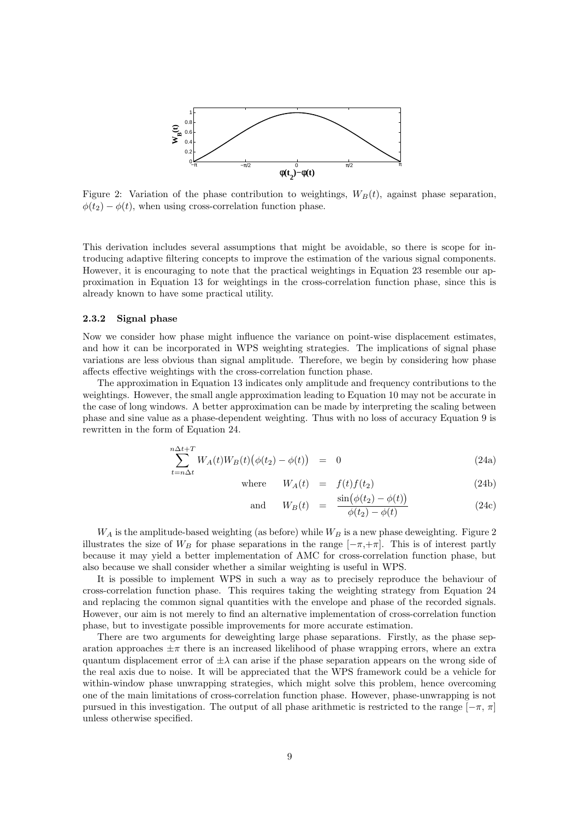

Figure 2: Variation of the phase contribution to weightings,  $W_B(t)$ , against phase separation,  $\phi(t_2) - \phi(t)$ , when using cross-correlation function phase.

This derivation includes several assumptions that might be avoidable, so there is scope for introducing adaptive filtering concepts to improve the estimation of the various signal components. However, it is encouraging to note that the practical weightings in Equation 23 resemble our approximation in Equation 13 for weightings in the cross-correlation function phase, since this is already known to have some practical utility.

#### 2.3.2 Signal phase

Now we consider how phase might influence the variance on point-wise displacement estimates, and how it can be incorporated in WPS weighting strategies. The implications of signal phase variations are less obvious than signal amplitude. Therefore, we begin by considering how phase affects effective weightings with the cross-correlation function phase.

The approximation in Equation 13 indicates only amplitude and frequency contributions to the weightings. However, the small angle approximation leading to Equation 10 may not be accurate in the case of long windows. A better approximation can be made by interpreting the scaling between phase and sine value as a phase-dependent weighting. Thus with no loss of accuracy Equation 9 is rewritten in the form of Equation 24.

$$
\sum_{t=n\Delta t}^{n\Delta t+T} W_A(t) W_B(t) \big(\phi(t_2) - \phi(t)\big) = 0 \tag{24a}
$$

where 
$$
W_A(t) = f(t)f(t_2)
$$
 (24b)

and 
$$
W_B(t) = \frac{\sin(\phi(t_2) - \phi(t))}{\phi(t_2) - \phi(t)}
$$
 (24c)

 $W_A$  is the amplitude-based weighting (as before) while  $W_B$  is a new phase deweighting. Figure 2 illustrates the size of  $W_B$  for phase separations in the range  $[-\pi, +\pi]$ . This is of interest partly because it may yield a better implementation of AMC for cross-correlation function phase, but also because we shall consider whether a similar weighting is useful in WPS.

It is possible to implement WPS in such a way as to precisely reproduce the behaviour of cross-correlation function phase. This requires taking the weighting strategy from Equation 24 and replacing the common signal quantities with the envelope and phase of the recorded signals. However, our aim is not merely to find an alternative implementation of cross-correlation function phase, but to investigate possible improvements for more accurate estimation.

There are two arguments for deweighting large phase separations. Firstly, as the phase separation approaches  $\pm \pi$  there is an increased likelihood of phase wrapping errors, where an extra quantum displacement error of  $\pm \lambda$  can arise if the phase separation appears on the wrong side of the real axis due to noise. It will be appreciated that the WPS framework could be a vehicle for within-window phase unwrapping strategies, which might solve this problem, hence overcoming one of the main limitations of cross-correlation function phase. However, phase-unwrapping is not pursued in this investigation. The output of all phase arithmetic is restricted to the range  $[-\pi, \pi]$ unless otherwise specified.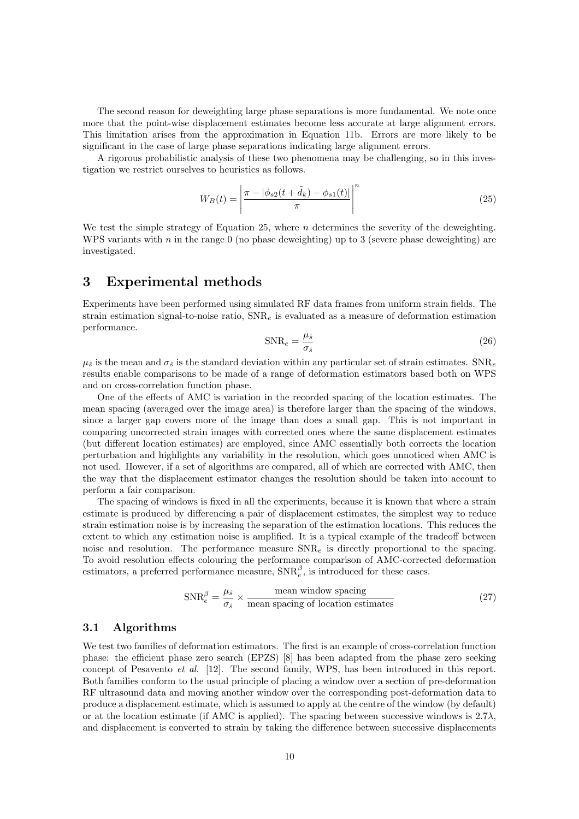The second reason for deweighting large phase separations is more fundamental. We note once more that the point-wise displacement estimates become less accurate at large alignment errors. This limitation arises from the approximation in Equation 11b. Errors are more likely to be significant in the case of large phase separations indicating large alignment errors.

A rigorous probabilistic analysis of these two phenomena may be challenging, so in this investigation we restrict ourselves to heuristics as follows.

$$
W_B(t) = \left| \frac{\pi - |\phi_{s2}(t + \tilde{d}_k) - \phi_{s1}(t)|}{\pi} \right|^n \tag{25}
$$

We test the simple strategy of Equation 25, where  $n$  determines the severity of the deweighting. WPS variants with  $n$  in the range 0 (no phase deweighting) up to 3 (severe phase deweighting) are investigated.

### 3 Experimental methods

Experiments have been performed using simulated RF data frames from uniform strain fields. The strain estimation signal-to-noise ratio,  $SNR_e$  is evaluated as a measure of deformation estimation performance.

$$
SNR_e = \frac{\mu_{\hat{s}}}{\sigma_{\hat{s}}} \tag{26}
$$

 $\mu_{\hat{s}}$  is the mean and  $\sigma_{\hat{s}}$  is the standard deviation within any particular set of strain estimates. SNR<sub>e</sub> results enable comparisons to be made of a range of deformation estimators based both on WPS and on cross-correlation function phase.

One of the effects of AMC is variation in the recorded spacing of the location estimates. The mean spacing (averaged over the image area) is therefore larger than the spacing of the windows, since a larger gap covers more of the image than does a small gap. This is not important in comparing uncorrected strain images with corrected ones where the same displacement estimates (but different location estimates) are employed, since AMC essentially both corrects the location perturbation and highlights any variability in the resolution, which goes unnoticed when AMC is not used. However, if a set of algorithms are compared, all of which are corrected with AMC, then the way that the displacement estimator changes the resolution should be taken into account to perform a fair comparison.

The spacing of windows is fixed in all the experiments, because it is known that where a strain estimate is produced by differencing a pair of displacement estimates, the simplest way to reduce strain estimation noise is by increasing the separation of the estimation locations. This reduces the extent to which any estimation noise is amplified. It is a typical example of the tradeoff between noise and resolution. The performance measure  $SNR_e$  is directly proportional to the spacing. To avoid resolution effects colouring the performance comparison of AMC-corrected deformation estimators, a preferred performance measure,  $\text{SNR}_{e}^{\beta}$ , is introduced for these cases.

$$
SNR_e^{\beta} = \frac{\mu_{\hat{s}}}{\sigma_{\hat{s}}} \times \frac{\text{mean window spacing}}{\text{mean spacing of location estimates}}
$$
 (27)

### 3.1 Algorithms

We test two families of deformation estimators. The first is an example of cross-correlation function phase: the efficient phase zero search (EPZS) [8] has been adapted from the phase zero seeking concept of Pesavento et al. [12]. The second family, WPS, has been introduced in this report. Both families conform to the usual principle of placing a window over a section of pre-deformation RF ultrasound data and moving another window over the corresponding post-deformation data to produce a displacement estimate, which is assumed to apply at the centre of the window (by default) or at the location estimate (if AMC is applied). The spacing between successive windows is  $2.7\lambda$ , and displacement is converted to strain by taking the difference between successive displacements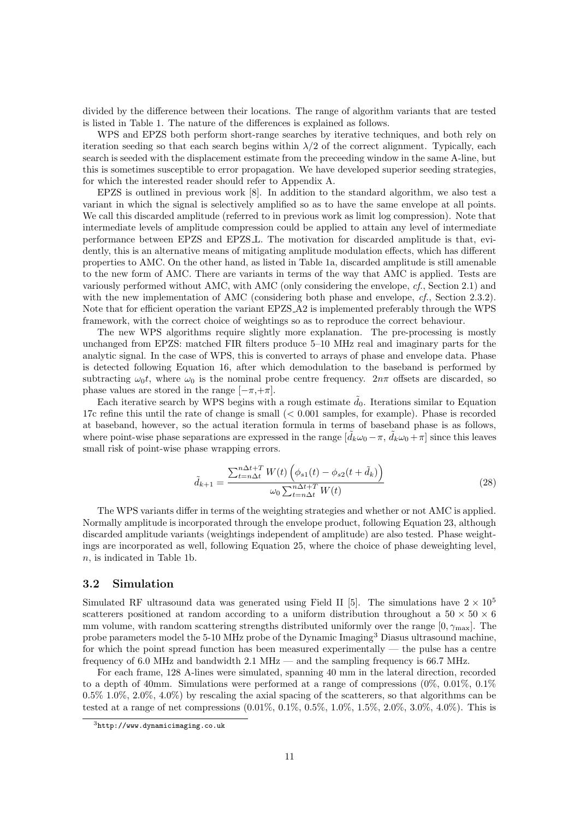divided by the difference between their locations. The range of algorithm variants that are tested is listed in Table 1. The nature of the differences is explained as follows.

WPS and EPZS both perform short-range searches by iterative techniques, and both rely on iteration seeding so that each search begins within  $\lambda/2$  of the correct alignment. Typically, each search is seeded with the displacement estimate from the preceeding window in the same A-line, but this is sometimes susceptible to error propagation. We have developed superior seeding strategies, for which the interested reader should refer to Appendix A.

EPZS is outlined in previous work [8]. In addition to the standard algorithm, we also test a variant in which the signal is selectively amplified so as to have the same envelope at all points. We call this discarded amplitude (referred to in previous work as limit log compression). Note that intermediate levels of amplitude compression could be applied to attain any level of intermediate performance between EPZS and EPZS L. The motivation for discarded amplitude is that, evidently, this is an alternative means of mitigating amplitude modulation effects, which has different properties to AMC. On the other hand, as listed in Table 1a, discarded amplitude is still amenable to the new form of AMC. There are variants in terms of the way that AMC is applied. Tests are variously performed without AMC, with AMC (only considering the envelope,  $cf.$ , Section 2.1) and with the new implementation of AMC (considering both phase and envelope,  $cf.$ , Section 2.3.2). Note that for efficient operation the variant EPZS A2 is implemented preferably through the WPS framework, with the correct choice of weightings so as to reproduce the correct behaviour.

The new WPS algorithms require slightly more explanation. The pre-processing is mostly unchanged from EPZS: matched FIR filters produce 5–10 MHz real and imaginary parts for the analytic signal. In the case of WPS, this is converted to arrays of phase and envelope data. Phase is detected following Equation 16, after which demodulation to the baseband is performed by subtracting  $\omega_0 t$ , where  $\omega_0$  is the nominal probe centre frequency.  $2n\pi$  offsets are discarded, so phase values are stored in the range  $[-\pi, +\pi]$ .

Each iterative search by WPS begins with a rough estimate  $d_0$ . Iterations similar to Equation 17c refine this until the rate of change is small (< 0.001 samples, for example). Phase is recorded at baseband, however, so the actual iteration formula in terms of baseband phase is as follows, where point-wise phase separations are expressed in the range  $[\tilde{d}_k\omega_0 - \pi, \tilde{d}_k\omega_0 + \pi]$  since this leaves small risk of point-wise phase wrapping errors.

$$
\tilde{d}_{k+1} = \frac{\sum_{t=n\Delta t}^{n\Delta t+T} W(t) \left( \phi_{s1}(t) - \phi_{s2}(t + \tilde{d}_k) \right)}{\omega_0 \sum_{t=n\Delta t}^{n\Delta t+T} W(t)} \tag{28}
$$

The WPS variants differ in terms of the weighting strategies and whether or not AMC is applied. Normally amplitude is incorporated through the envelope product, following Equation 23, although discarded amplitude variants (weightings independent of amplitude) are also tested. Phase weightings are incorporated as well, following Equation 25, where the choice of phase deweighting level, n, is indicated in Table 1b.

### 3.2 Simulation

Simulated RF ultrasound data was generated using Field II [5]. The simulations have  $2 \times 10^5$ scatterers positioned at random according to a uniform distribution throughout a  $50 \times 50 \times 6$ mm volume, with random scattering strengths distributed uniformly over the range  $[0, \gamma_{\text{max}}]$ . The probe parameters model the 5-10 MHz probe of the Dynamic Imaging<sup>3</sup> Diasus ultrasound machine, for which the point spread function has been measured experimentally — the pulse has a centre frequency of 6.0 MHz and bandwidth 2.1 MHz — and the sampling frequency is 66.7 MHz.

For each frame, 128 A-lines were simulated, spanning 40 mm in the lateral direction, recorded to a depth of 40mm. Simulations were performed at a range of compressions  $(0\%, 0.01\%, 0.1\%)$  $0.5\%$  1.0%,  $2.0\%$ ,  $4.0\%$ ) by rescaling the axial spacing of the scatterers, so that algorithms can be tested at a range of net compressions  $(0.01\%, 0.1\%, 0.5\%, 1.0\%, 1.5\%, 2.0\%, 3.0\%, 4.0\%)$ . This is

 $3$ http://www.dynamicimaging.co.uk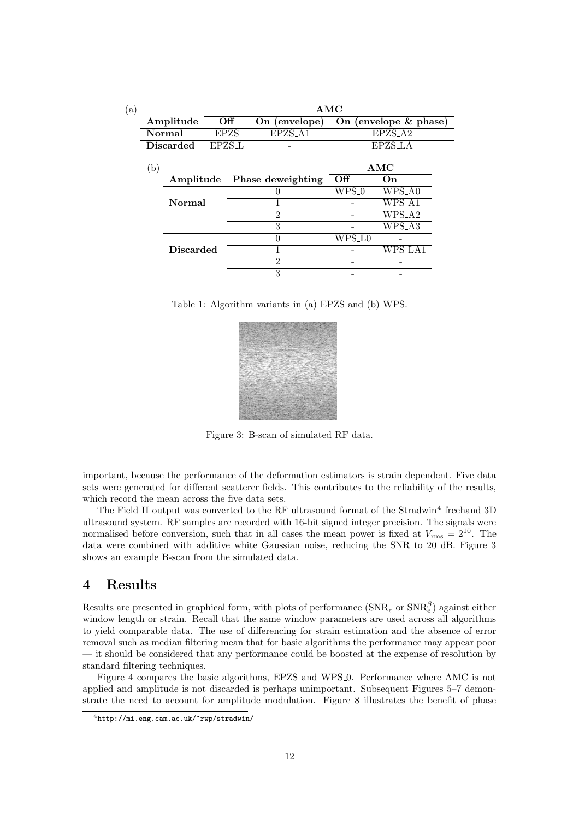| (a) |                  |                  |             | AMC               |                |                         |         |  |  |
|-----|------------------|------------------|-------------|-------------------|----------------|-------------------------|---------|--|--|
|     |                  | Amplitude        |             | Off               | On (envelope)  | On (envelope $&$ phase) |         |  |  |
|     |                  | Normal           | <b>EPZS</b> |                   | EPZS_A1        | EPZS_A2                 |         |  |  |
|     |                  | <b>Discarded</b> | EPZS_L      |                   |                | EPZS_LA                 |         |  |  |
|     | (b)<br>Amplitude |                  |             |                   | AMC            |                         |         |  |  |
|     |                  |                  |             | Phase deweighting | Off            | On                      |         |  |  |
|     |                  |                  |             |                   |                | $WPS_0$                 | WPS_A0  |  |  |
|     |                  | Normal           |             |                   |                |                         | WPS_A1  |  |  |
|     | <b>Discarded</b> |                  |             |                   | $\mathcal{P}$  |                         | WPS_A2  |  |  |
|     |                  |                  |             |                   | 3              |                         | WPS_A3  |  |  |
|     |                  |                  |             |                   |                | WPS_L0                  |         |  |  |
|     |                  |                  |             |                   |                |                         | WPS_LA1 |  |  |
|     |                  |                  |             |                   | $\mathfrak{D}$ |                         |         |  |  |
|     |                  |                  |             |                   | 3              |                         |         |  |  |

Table 1: Algorithm variants in (a) EPZS and (b) WPS.



Figure 3: B-scan of simulated RF data.

important, because the performance of the deformation estimators is strain dependent. Five data sets were generated for different scatterer fields. This contributes to the reliability of the results, which record the mean across the five data sets.

The Field II output was converted to the RF ultrasound format of the Stradwin<sup>4</sup> freehand 3D ultrasound system. RF samples are recorded with 16-bit signed integer precision. The signals were normalised before conversion, such that in all cases the mean power is fixed at  $V_{\rm rms} = 2^{10}$ . The data were combined with additive white Gaussian noise, reducing the SNR to 20 dB. Figure 3 shows an example B-scan from the simulated data.

# 4 Results

Results are presented in graphical form, with plots of performance  $(SNR_e \text{ or } SNR_e^{\beta})$  against either window length or strain. Recall that the same window parameters are used across all algorithms to yield comparable data. The use of differencing for strain estimation and the absence of error removal such as median filtering mean that for basic algorithms the performance may appear poor — it should be considered that any performance could be boosted at the expense of resolution by standard filtering techniques.

Figure 4 compares the basic algorithms, EPZS and WPS 0. Performance where AMC is not applied and amplitude is not discarded is perhaps unimportant. Subsequent Figures 5–7 demonstrate the need to account for amplitude modulation. Figure 8 illustrates the benefit of phase

<sup>4</sup>http://mi.eng.cam.ac.uk/~rwp/stradwin/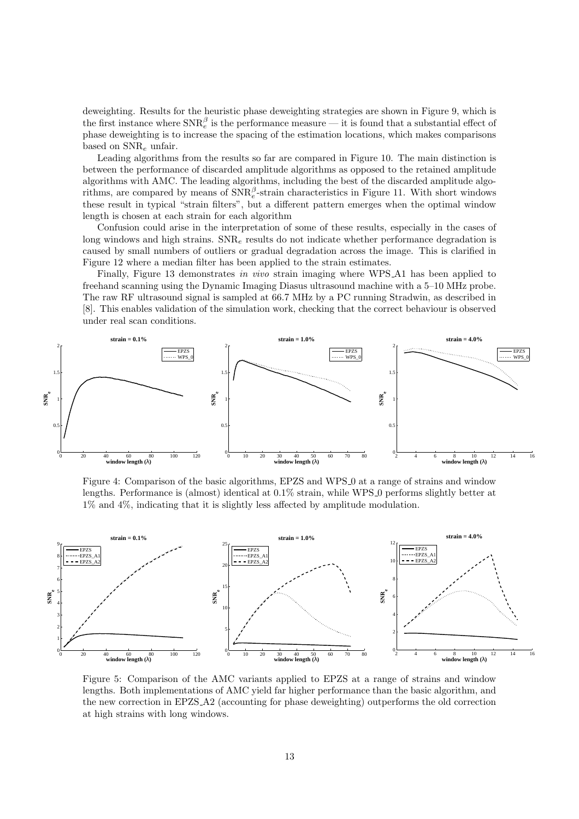deweighting. Results for the heuristic phase deweighting strategies are shown in Figure 9, which is the first instance where  $\text{SNR}_{e}^{\beta}$  is the performance measure — it is found that a substantial effect of phase deweighting is to increase the spacing of the estimation locations, which makes comparisons based on  $SNR_e$  unfair.

Leading algorithms from the results so far are compared in Figure 10. The main distinction is between the performance of discarded amplitude algorithms as opposed to the retained amplitude algorithms with AMC. The leading algorithms, including the best of the discarded amplitude algorithms, are compared by means of  $\text{SNR}_{e}^{\beta}$ -strain characteristics in Figure 11. With short windows these result in typical "strain filters", but a different pattern emerges when the optimal window length is chosen at each strain for each algorithm

Confusion could arise in the interpretation of some of these results, especially in the cases of long windows and high strains.  $SNR_e$  results do not indicate whether performance degradation is caused by small numbers of outliers or gradual degradation across the image. This is clarified in Figure 12 where a median filter has been applied to the strain estimates.

Finally, Figure 13 demonstrates in vivo strain imaging where WPS A1 has been applied to freehand scanning using the Dynamic Imaging Diasus ultrasound machine with a 5–10 MHz probe. The raw RF ultrasound signal is sampled at 66.7 MHz by a PC running Stradwin, as described in [8]. This enables validation of the simulation work, checking that the correct behaviour is observed under real scan conditions.



Figure 4: Comparison of the basic algorithms, EPZS and WPS 0 at a range of strains and window lengths. Performance is (almost) identical at 0.1% strain, while WPS 0 performs slightly better at 1% and 4%, indicating that it is slightly less affected by amplitude modulation.



Figure 5: Comparison of the AMC variants applied to EPZS at a range of strains and window lengths. Both implementations of AMC yield far higher performance than the basic algorithm, and the new correction in EPZS A2 (accounting for phase deweighting) outperforms the old correction at high strains with long windows.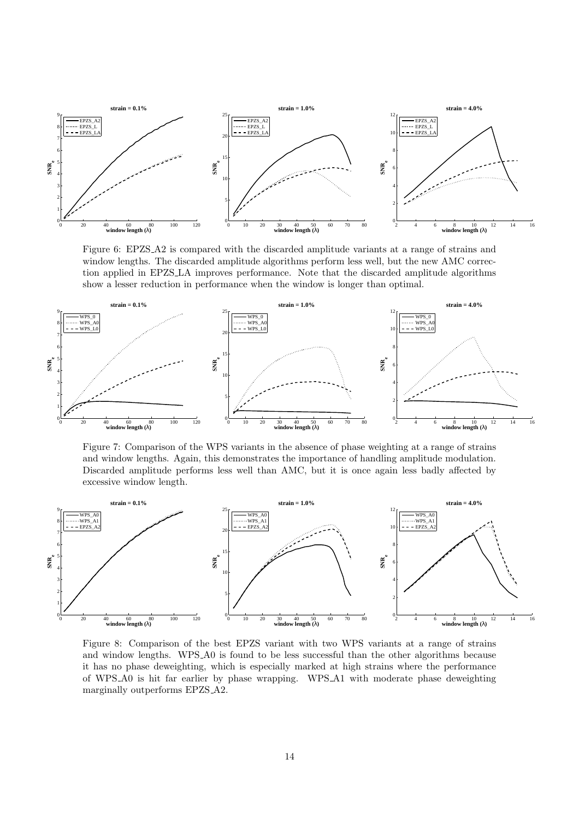

Figure 6: EPZS A2 is compared with the discarded amplitude variants at a range of strains and window lengths. The discarded amplitude algorithms perform less well, but the new AMC correction applied in EPZS LA improves performance. Note that the discarded amplitude algorithms show a lesser reduction in performance when the window is longer than optimal.



Figure 7: Comparison of the WPS variants in the absence of phase weighting at a range of strains and window lengths. Again, this demonstrates the importance of handling amplitude modulation. Discarded amplitude performs less well than AMC, but it is once again less badly affected by excessive window length.



Figure 8: Comparison of the best EPZS variant with two WPS variants at a range of strains and window lengths. WPS A0 is found to be less successful than the other algorithms because it has no phase deweighting, which is especially marked at high strains where the performance of WPS A0 is hit far earlier by phase wrapping. WPS A1 with moderate phase deweighting marginally outperforms EPZS A2.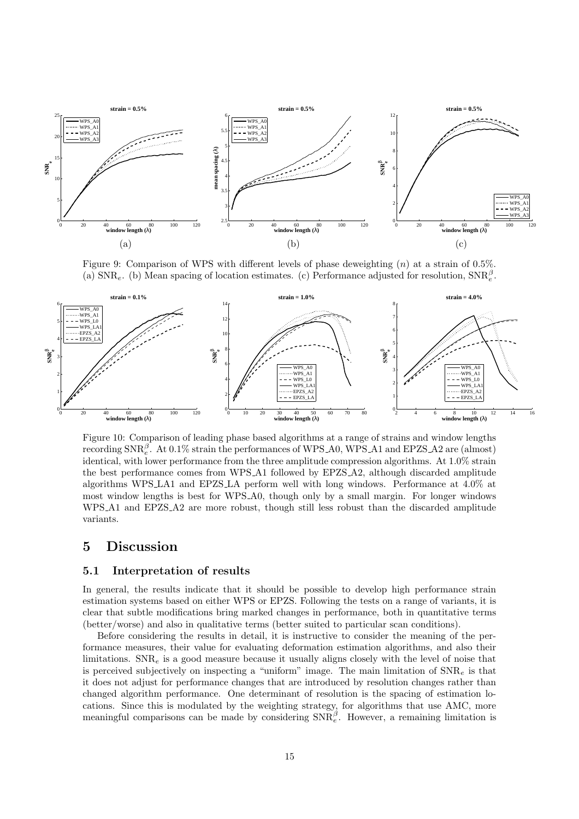

Figure 9: Comparison of WPS with different levels of phase deweighting  $(n)$  at a strain of 0.5%. (a)  $\text{SNR}_e$ . (b) Mean spacing of location estimates. (c) Performance adjusted for resolution,  $\text{SNR}_e^{\beta}$ .



Figure 10: Comparison of leading phase based algorithms at a range of strains and window lengths recording  $\text{SNR}_{e}^{\beta}$ . At 0.1% strain the performances of WPS\_A0, WPS\_A1 and EPZS\_A2 are (almost) identical, with lower performance from the three amplitude compression algorithms. At 1.0% strain the best performance comes from WPS A1 followed by EPZS A2, although discarded amplitude algorithms WPS LA1 and EPZS LA perform well with long windows. Performance at 4.0% at most window lengths is best for WPS A0, though only by a small margin. For longer windows WPS A1 and EPZS A2 are more robust, though still less robust than the discarded amplitude variants.

### 5 Discussion

#### 5.1 Interpretation of results

In general, the results indicate that it should be possible to develop high performance strain estimation systems based on either WPS or EPZS. Following the tests on a range of variants, it is clear that subtle modifications bring marked changes in performance, both in quantitative terms (better/worse) and also in qualitative terms (better suited to particular scan conditions).

Before considering the results in detail, it is instructive to consider the meaning of the performance measures, their value for evaluating deformation estimation algorithms, and also their limitations.  $SNR_e$  is a good measure because it usually aligns closely with the level of noise that is perceived subjectively on inspecting a "uniform" image. The main limitation of  $\text{SNR}_e$  is that it does not adjust for performance changes that are introduced by resolution changes rather than changed algorithm performance. One determinant of resolution is the spacing of estimation locations. Since this is modulated by the weighting strategy, for algorithms that use AMC, more meaningful comparisons can be made by considering  $SNR_e^{\beta}$ . However, a remaining limitation is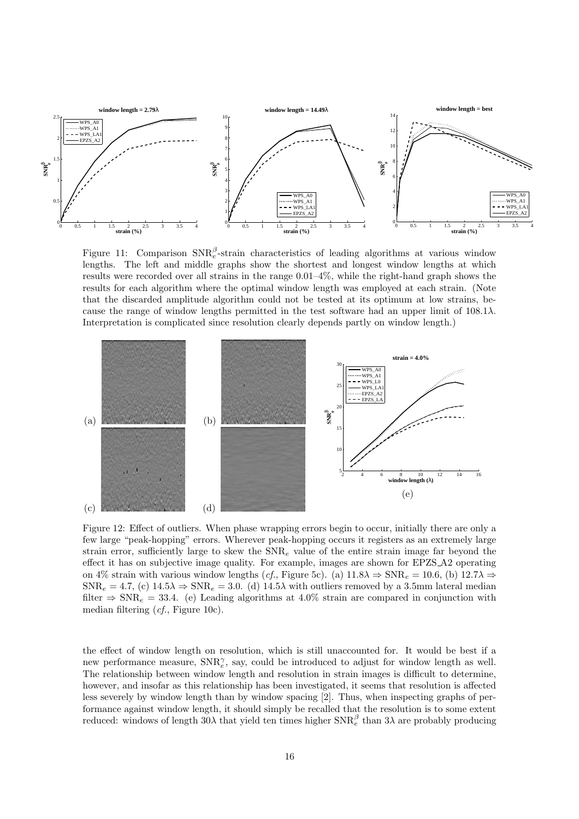

Figure 11: Comparison  $\text{SNR}_{e}^{\beta}$ -strain characteristics of leading algorithms at various window lengths. The left and middle graphs show the shortest and longest window lengths at which results were recorded over all strains in the range 0.01–4%, while the right-hand graph shows the results for each algorithm where the optimal window length was employed at each strain. (Note that the discarded amplitude algorithm could not be tested at its optimum at low strains, because the range of window lengths permitted in the test software had an upper limit of  $108.1\lambda$ . Interpretation is complicated since resolution clearly depends partly on window length.)



Figure 12: Effect of outliers. When phase wrapping errors begin to occur, initially there are only a few large "peak-hopping" errors. Wherever peak-hopping occurs it registers as an extremely large strain error, sufficiently large to skew the  $SNR_e$  value of the entire strain image far beyond the effect it has on subjective image quality. For example, images are shown for EPZS A2 operating on 4% strain with various window lengths (cf., Figure 5c). (a)  $11.8\lambda \Rightarrow SNR_e = 10.6$ , (b)  $12.7\lambda \Rightarrow$  $SNR_e = 4.7$ , (c)  $14.5\lambda \Rightarrow SNR_e = 3.0$ . (d)  $14.5\lambda$  with outliers removed by a 3.5mm lateral median filter  $\Rightarrow$  SNR<sub>e</sub> = 33.4. (e) Leading algorithms at 4.0% strain are compared in conjunction with median filtering (cf., Figure 10c).

the effect of window length on resolution, which is still unaccounted for. It would be best if a new performance measure,  $SNR_e^{\gamma}$ , say, could be introduced to adjust for window length as well. The relationship between window length and resolution in strain images is difficult to determine, however, and insofar as this relationship has been investigated, it seems that resolution is affected less severely by window length than by window spacing [2]. Thus, when inspecting graphs of performance against window length, it should simply be recalled that the resolution is to some extent reduced: windows of length  $30\lambda$  that yield ten times higher  $\text{SNR}_e^{\beta}$  than  $3\lambda$  are probably producing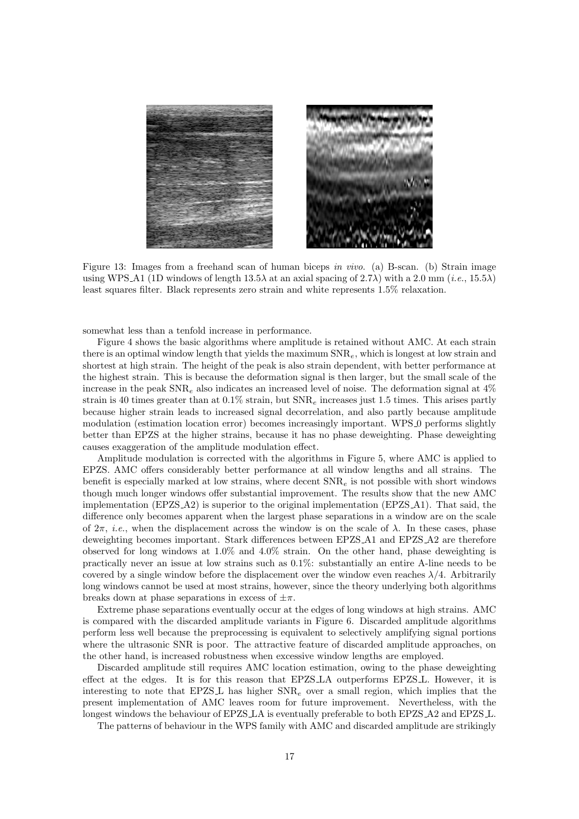

Figure 13: Images from a freehand scan of human biceps in vivo. (a) B-scan. (b) Strain image using WPS A1 (1D windows of length  $13.5\lambda$  at an axial spacing of  $2.7\lambda$ ) with a  $2.0 \text{ mm } (i.e., 15.5\lambda)$ least squares filter. Black represents zero strain and white represents 1.5% relaxation.

somewhat less than a tenfold increase in performance.

Figure 4 shows the basic algorithms where amplitude is retained without AMC. At each strain there is an optimal window length that yields the maximum  $SNR_e$ , which is longest at low strain and shortest at high strain. The height of the peak is also strain dependent, with better performance at the highest strain. This is because the deformation signal is then larger, but the small scale of the increase in the peak  $SNR_e$  also indicates an increased level of noise. The deformation signal at  $4\%$ strain is 40 times greater than at  $0.1\%$  strain, but  $\text{SNR}_e$  increases just 1.5 times. This arises partly because higher strain leads to increased signal decorrelation, and also partly because amplitude modulation (estimation location error) becomes increasingly important. WPS 0 performs slightly better than EPZS at the higher strains, because it has no phase deweighting. Phase deweighting causes exaggeration of the amplitude modulation effect.

Amplitude modulation is corrected with the algorithms in Figure 5, where AMC is applied to EPZS. AMC offers considerably better performance at all window lengths and all strains. The benefit is especially marked at low strains, where decent  $\text{SNR}_e$  is not possible with short windows though much longer windows offer substantial improvement. The results show that the new AMC implementation  $(EPZS_A2)$  is superior to the original implementation  $(EPZS_A1)$ . That said, the difference only becomes apparent when the largest phase separations in a window are on the scale of  $2\pi$ , *i.e.*, when the displacement across the window is on the scale of  $\lambda$ . In these cases, phase deweighting becomes important. Stark differences between EPZS A1 and EPZS A2 are therefore observed for long windows at 1.0% and 4.0% strain. On the other hand, phase deweighting is practically never an issue at low strains such as 0.1%: substantially an entire A-line needs to be covered by a single window before the displacement over the window even reaches  $\lambda/4$ . Arbitrarily long windows cannot be used at most strains, however, since the theory underlying both algorithms breaks down at phase separations in excess of  $\pm \pi$ .

Extreme phase separations eventually occur at the edges of long windows at high strains. AMC is compared with the discarded amplitude variants in Figure 6. Discarded amplitude algorithms perform less well because the preprocessing is equivalent to selectively amplifying signal portions where the ultrasonic SNR is poor. The attractive feature of discarded amplitude approaches, on the other hand, is increased robustness when excessive window lengths are employed.

Discarded amplitude still requires AMC location estimation, owing to the phase deweighting effect at the edges. It is for this reason that EPZS LA outperforms EPZS L. However, it is interesting to note that EPZS L has higher  $SNR_e$  over a small region, which implies that the present implementation of AMC leaves room for future improvement. Nevertheless, with the longest windows the behaviour of EPZS LA is eventually preferable to both EPZS A2 and EPZS L.

The patterns of behaviour in the WPS family with AMC and discarded amplitude are strikingly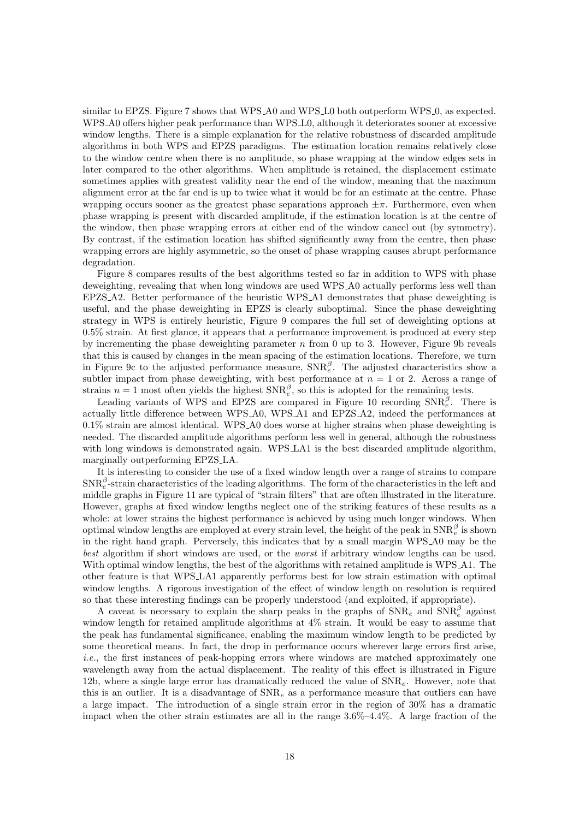similar to EPZS. Figure 7 shows that WPS\_A0 and WPS\_L0 both outperform WPS\_0, as expected. WPS A0 offers higher peak performance than WPS L0, although it deteriorates sooner at excessive window lengths. There is a simple explanation for the relative robustness of discarded amplitude algorithms in both WPS and EPZS paradigms. The estimation location remains relatively close to the window centre when there is no amplitude, so phase wrapping at the window edges sets in later compared to the other algorithms. When amplitude is retained, the displacement estimate sometimes applies with greatest validity near the end of the window, meaning that the maximum alignment error at the far end is up to twice what it would be for an estimate at the centre. Phase wrapping occurs sooner as the greatest phase separations approach  $\pm \pi$ . Furthermore, even when phase wrapping is present with discarded amplitude, if the estimation location is at the centre of the window, then phase wrapping errors at either end of the window cancel out (by symmetry). By contrast, if the estimation location has shifted significantly away from the centre, then phase wrapping errors are highly asymmetric, so the onset of phase wrapping causes abrupt performance degradation.

Figure 8 compares results of the best algorithms tested so far in addition to WPS with phase deweighting, revealing that when long windows are used WPS A0 actually performs less well than EPZS A2. Better performance of the heuristic WPS A1 demonstrates that phase deweighting is useful, and the phase deweighting in EPZS is clearly suboptimal. Since the phase deweighting strategy in WPS is entirely heuristic, Figure 9 compares the full set of deweighting options at 0.5% strain. At first glance, it appears that a performance improvement is produced at every step by incrementing the phase deweighting parameter  $n$  from 0 up to 3. However, Figure 9b reveals that this is caused by changes in the mean spacing of the estimation locations. Therefore, we turn in Figure 9c to the adjusted performance measure,  $SNR_e^{\beta}$ . The adjusted characteristics show a subtler impact from phase deweighting, with best performance at  $n = 1$  or 2. Across a range of strains  $n = 1$  most often yields the highest  $SNR_e^{\beta}$ , so this is adopted for the remaining tests.

Leading variants of WPS and EPZS are compared in Figure 10 recording  $SNR_e^{\beta}$ . There is actually little difference between WPS A0, WPS A1 and EPZS A2, indeed the performances at 0.1% strain are almost identical. WPS A0 does worse at higher strains when phase deweighting is needed. The discarded amplitude algorithms perform less well in general, although the robustness with long windows is demonstrated again. WPS LA1 is the best discarded amplitude algorithm, marginally outperforming EPZS LA.

It is interesting to consider the use of a fixed window length over a range of strains to compare  $\text{SNR}_{e}^{\beta}$ -strain characteristics of the leading algorithms. The form of the characteristics in the left and middle graphs in Figure 11 are typical of "strain filters" that are often illustrated in the literature. However, graphs at fixed window lengths neglect one of the striking features of these results as a whole: at lower strains the highest performance is achieved by using much longer windows. When optimal window lengths are employed at every strain level, the height of the peak in  $\text{SNR}_e^{\beta}$  is shown in the right hand graph. Perversely, this indicates that by a small margin WPS A0 may be the best algorithm if short windows are used, or the *worst* if arbitrary window lengths can be used. With optimal window lengths, the best of the algorithms with retained amplitude is WPS A1. The other feature is that WPS LA1 apparently performs best for low strain estimation with optimal window lengths. A rigorous investigation of the effect of window length on resolution is required so that these interesting findings can be properly understood (and exploited, if appropriate).

A caveat is necessary to explain the sharp peaks in the graphs of  $\text{SNR}_e$  and  $\text{SNR}_e^{\beta}$  against window length for retained amplitude algorithms at 4% strain. It would be easy to assume that the peak has fundamental significance, enabling the maximum window length to be predicted by some theoretical means. In fact, the drop in performance occurs wherever large errors first arise,  $i.e.,$  the first instances of peak-hopping errors where windows are matched approximately one wavelength away from the actual displacement. The reality of this effect is illustrated in Figure 12b, where a single large error has dramatically reduced the value of  $\text{SNR}_{e}$ . However, note that this is an outlier. It is a disadvantage of  $SNR_e$  as a performance measure that outliers can have a large impact. The introduction of a single strain error in the region of 30% has a dramatic impact when the other strain estimates are all in the range  $3.6\% - 4.4\%$ . A large fraction of the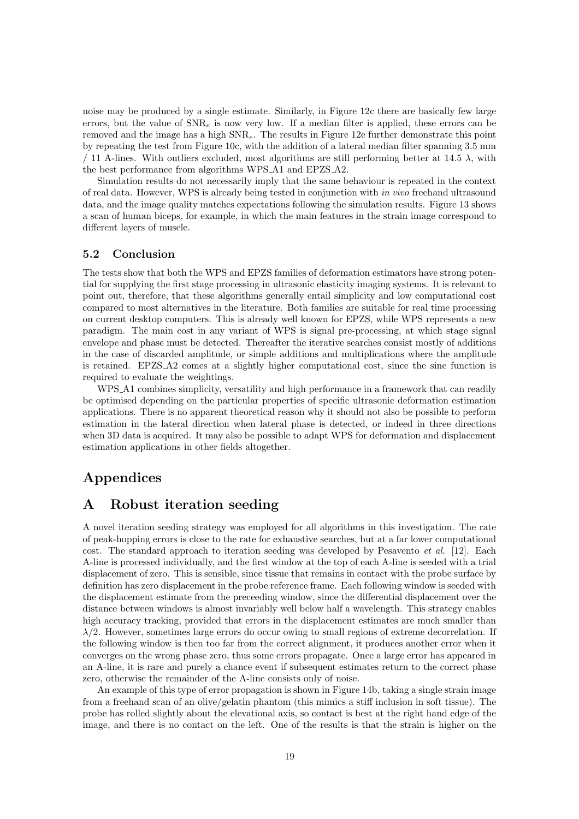noise may be produced by a single estimate. Similarly, in Figure 12c there are basically few large errors, but the value of  $SNR_e$  is now very low. If a median filter is applied, these errors can be removed and the image has a high  $SNR_e$ . The results in Figure 12e further demonstrate this point by repeating the test from Figure 10c, with the addition of a lateral median filter spanning 3.5 mm / 11 A-lines. With outliers excluded, most algorithms are still performing better at 14.5  $\lambda$ , with the best performance from algorithms WPS A1 and EPZS A2.

Simulation results do not necessarily imply that the same behaviour is repeated in the context of real data. However, WPS is already being tested in conjunction with in vivo freehand ultrasound data, and the image quality matches expectations following the simulation results. Figure 13 shows a scan of human biceps, for example, in which the main features in the strain image correspond to different layers of muscle.

### 5.2 Conclusion

The tests show that both the WPS and EPZS families of deformation estimators have strong potential for supplying the first stage processing in ultrasonic elasticity imaging systems. It is relevant to point out, therefore, that these algorithms generally entail simplicity and low computational cost compared to most alternatives in the literature. Both families are suitable for real time processing on current desktop computers. This is already well known for EPZS, while WPS represents a new paradigm. The main cost in any variant of WPS is signal pre-processing, at which stage signal envelope and phase must be detected. Thereafter the iterative searches consist mostly of additions in the case of discarded amplitude, or simple additions and multiplications where the amplitude is retained. EPZS A2 comes at a slightly higher computational cost, since the sine function is required to evaluate the weightings.

WPS A1 combines simplicity, versatility and high performance in a framework that can readily be optimised depending on the particular properties of specific ultrasonic deformation estimation applications. There is no apparent theoretical reason why it should not also be possible to perform estimation in the lateral direction when lateral phase is detected, or indeed in three directions when 3D data is acquired. It may also be possible to adapt WPS for deformation and displacement estimation applications in other fields altogether.

# Appendices

# A Robust iteration seeding

A novel iteration seeding strategy was employed for all algorithms in this investigation. The rate of peak-hopping errors is close to the rate for exhaustive searches, but at a far lower computational cost. The standard approach to iteration seeding was developed by Pesavento et al. [12]. Each A-line is processed individually, and the first window at the top of each A-line is seeded with a trial displacement of zero. This is sensible, since tissue that remains in contact with the probe surface by definition has zero displacement in the probe reference frame. Each following window is seeded with the displacement estimate from the preceeding window, since the differential displacement over the distance between windows is almost invariably well below half a wavelength. This strategy enables high accuracy tracking, provided that errors in the displacement estimates are much smaller than  $\lambda/2$ . However, sometimes large errors do occur owing to small regions of extreme decorrelation. If the following window is then too far from the correct alignment, it produces another error when it converges on the wrong phase zero, thus some errors propagate. Once a large error has appeared in an A-line, it is rare and purely a chance event if subsequent estimates return to the correct phase zero, otherwise the remainder of the A-line consists only of noise.

An example of this type of error propagation is shown in Figure 14b, taking a single strain image from a freehand scan of an olive/gelatin phantom (this mimics a stiff inclusion in soft tissue). The probe has rolled slightly about the elevational axis, so contact is best at the right hand edge of the image, and there is no contact on the left. One of the results is that the strain is higher on the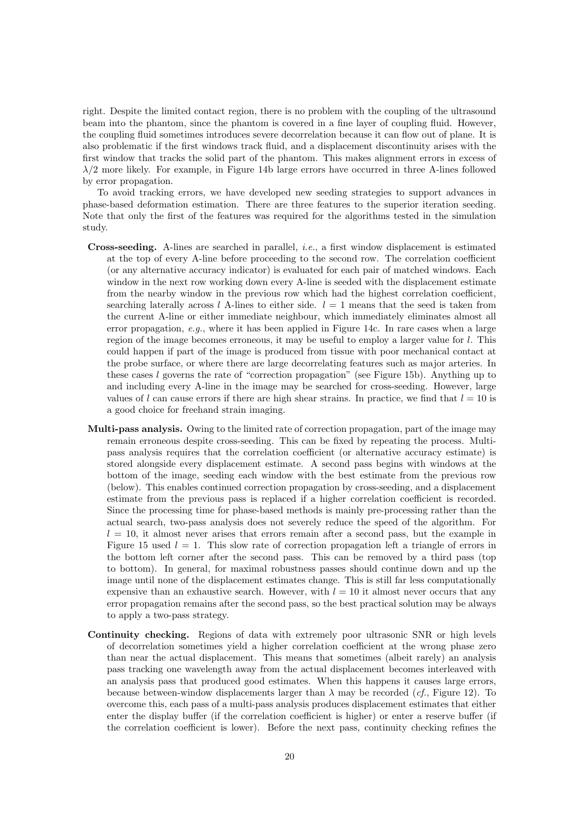right. Despite the limited contact region, there is no problem with the coupling of the ultrasound beam into the phantom, since the phantom is covered in a fine layer of coupling fluid. However, the coupling fluid sometimes introduces severe decorrelation because it can flow out of plane. It is also problematic if the first windows track fluid, and a displacement discontinuity arises with the first window that tracks the solid part of the phantom. This makes alignment errors in excess of  $\lambda/2$  more likely. For example, in Figure 14b large errors have occurred in three A-lines followed by error propagation.

To avoid tracking errors, we have developed new seeding strategies to support advances in phase-based deformation estimation. There are three features to the superior iteration seeding. Note that only the first of the features was required for the algorithms tested in the simulation study.

- Cross-seeding. A-lines are searched in parallel, i.e., a first window displacement is estimated at the top of every A-line before proceeding to the second row. The correlation coefficient (or any alternative accuracy indicator) is evaluated for each pair of matched windows. Each window in the next row working down every A-line is seeded with the displacement estimate from the nearby window in the previous row which had the highest correlation coefficient, searching laterally across l A-lines to either side.  $l = 1$  means that the seed is taken from the current A-line or either immediate neighbour, which immediately eliminates almost all error propagation,  $e.g.,$  where it has been applied in Figure 14c. In rare cases when a large region of the image becomes erroneous, it may be useful to employ a larger value for l. This could happen if part of the image is produced from tissue with poor mechanical contact at the probe surface, or where there are large decorrelating features such as major arteries. In these cases  $l$  governs the rate of "correction propagation" (see Figure 15b). Anything up to and including every A-line in the image may be searched for cross-seeding. However, large values of l can cause errors if there are high shear strains. In practice, we find that  $l = 10$  is a good choice for freehand strain imaging.
- Multi-pass analysis. Owing to the limited rate of correction propagation, part of the image may remain erroneous despite cross-seeding. This can be fixed by repeating the process. Multipass analysis requires that the correlation coefficient (or alternative accuracy estimate) is stored alongside every displacement estimate. A second pass begins with windows at the bottom of the image, seeding each window with the best estimate from the previous row (below). This enables continued correction propagation by cross-seeding, and a displacement estimate from the previous pass is replaced if a higher correlation coefficient is recorded. Since the processing time for phase-based methods is mainly pre-processing rather than the actual search, two-pass analysis does not severely reduce the speed of the algorithm. For  $l = 10$ , it almost never arises that errors remain after a second pass, but the example in Figure 15 used  $l = 1$ . This slow rate of correction propagation left a triangle of errors in the bottom left corner after the second pass. This can be removed by a third pass (top to bottom). In general, for maximal robustness passes should continue down and up the image until none of the displacement estimates change. This is still far less computationally expensive than an exhaustive search. However, with  $l = 10$  it almost never occurs that any error propagation remains after the second pass, so the best practical solution may be always to apply a two-pass strategy.
- Continuity checking. Regions of data with extremely poor ultrasonic SNR or high levels of decorrelation sometimes yield a higher correlation coefficient at the wrong phase zero than near the actual displacement. This means that sometimes (albeit rarely) an analysis pass tracking one wavelength away from the actual displacement becomes interleaved with an analysis pass that produced good estimates. When this happens it causes large errors, because between-window displacements larger than  $\lambda$  may be recorded (*cf.*, Figure 12). To overcome this, each pass of a multi-pass analysis produces displacement estimates that either enter the display buffer (if the correlation coefficient is higher) or enter a reserve buffer (if the correlation coefficient is lower). Before the next pass, continuity checking refines the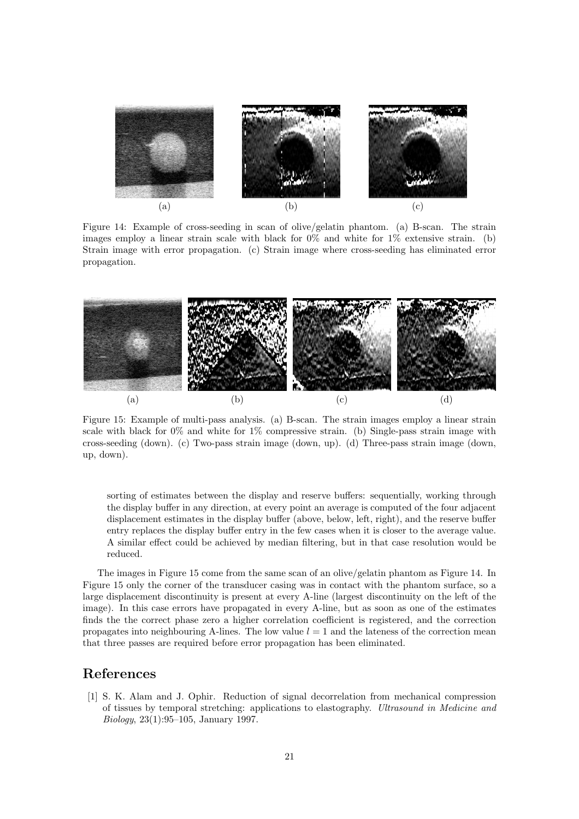

Figure 14: Example of cross-seeding in scan of olive/gelatin phantom. (a) B-scan. The strain images employ a linear strain scale with black for 0% and white for 1% extensive strain. (b) Strain image with error propagation. (c) Strain image where cross-seeding has eliminated error propagation.



Figure 15: Example of multi-pass analysis. (a) B-scan. The strain images employ a linear strain scale with black for 0% and white for 1% compressive strain. (b) Single-pass strain image with cross-seeding (down). (c) Two-pass strain image (down, up). (d) Three-pass strain image (down, up, down).

sorting of estimates between the display and reserve buffers: sequentially, working through the display buffer in any direction, at every point an average is computed of the four adjacent displacement estimates in the display buffer (above, below, left, right), and the reserve buffer entry replaces the display buffer entry in the few cases when it is closer to the average value. A similar effect could be achieved by median filtering, but in that case resolution would be reduced.

The images in Figure 15 come from the same scan of an olive/gelatin phantom as Figure 14. In Figure 15 only the corner of the transducer casing was in contact with the phantom surface, so a large displacement discontinuity is present at every A-line (largest discontinuity on the left of the image). In this case errors have propagated in every A-line, but as soon as one of the estimates finds the the correct phase zero a higher correlation coefficient is registered, and the correction propagates into neighbouring A-lines. The low value  $l = 1$  and the lateness of the correction mean that three passes are required before error propagation has been eliminated.

### References

[1] S. K. Alam and J. Ophir. Reduction of signal decorrelation from mechanical compression of tissues by temporal stretching: applications to elastography. Ultrasound in Medicine and Biology, 23(1):95–105, January 1997.